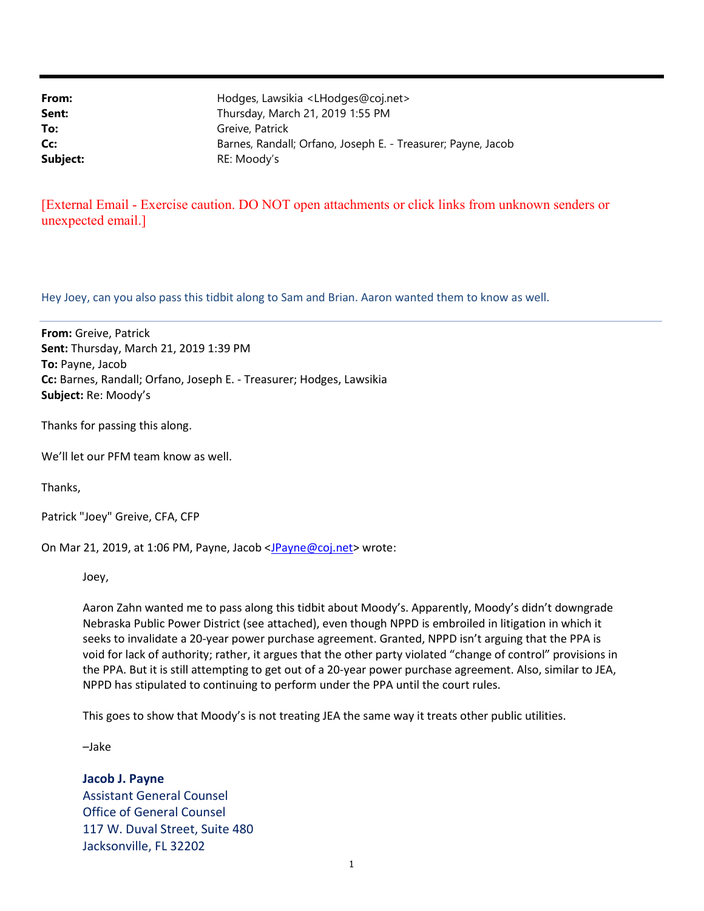From: Hodges, Lawsikia <LHodges@coj.net> **Sent:** Thursday, March 21, 2019 1:55 PM To: Greive, Patrick Cc: Barnes, Randall; Orfano, Joseph E. - Treasurer; Payne, Jacob Subject: RE: Moody's

## [External Email - Exercise caution. DO NOT open attachments or click links from unknown senders or unexpected email.]

Hey Joey, can you also pass this tidbit along to Sam and Brian. Aaron wanted them to know as well.

From: Greive, Patrick Sent: Thursday, March 21, 2019 1:39 PM To: Payne, Jacob Cc: Barnes, Randall; Orfano, Joseph E. - Treasurer; Hodges, Lawsikia Subject: Re: Moody's

Thanks for passing this along.

We'll let our PFM team know as well.

Thanks,

Patrick "Joey" Greive, CFA, CFP

On Mar 21, 2019, at 1:06 PM, Payne, Jacob <JPayne@coj.net> wrote:

Joey,

Aaron Zahn wanted me to pass along this tidbit about Moody's. Apparently, Moody's didn't downgrade Nebraska Public Power District (see attached), even though NPPD is embroiled in litigation in which it seeks to invalidate a 20-year power purchase agreement. Granted, NPPD isn't arguing that the PPA is void for lack of authority; rather, it argues that the other party violated "change of control" provisions in the PPA. But it is still attempting to get out of a 20-year power purchase agreement. Also, similar to JEA, NPPD has stipulated to continuing to perform under the PPA until the court rules.

This goes to show that Moody's is not treating JEA the same way it treats other public utilities.

–Jake

Jacob J. Payne Assistant General Counsel Office of General Counsel 117 W. Duval Street, Suite 480 Jacksonville, FL 32202